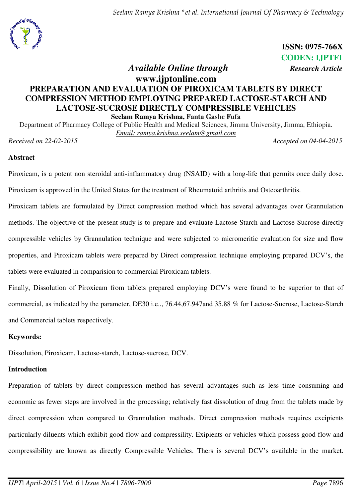*Seelam Ramya Krishna \*et al. International Journal Of Pharmacy & Technology*



**ISSN: 0975-766X CODEN: IJPTFI** 

# *Available Online through Research Article*

## **www.ijptonline.com PREPARATION AND EVALUATION OF PIROXICAM TABLETS BY DIRECT COMPRESSION METHOD EMPLOYING PREPARED LACTOSE-STARCH AND LACTOSE-SUCROSE DIRECTLY COMPRESSIBLE VEHICLES Seelam Ramya Krishna, Fanta Gashe Fufa**

Department of Pharmacy College of Public Health and Medical Sciences, Jimma University, Jimma, Ethiopia. *Email: ramya.krishna.seelam@gmail.com* 

*Received on 22-02-2015 Accepted on 04-04-2015*

## **Abstract**

Piroxicam, is a potent non steroidal anti-inflammatory drug (NSAID) with a long-life that permits once daily dose. Piroxicam is approved in the United States for the treatment of Rheumatoid arthritis and Osteoarthritis.

Piroxicam tablets are formulated by Direct compression method which has several advantages over Grannulation methods. The objective of the present study is to prepare and evaluate Lactose-Starch and Lactose-Sucrose directly compressible vehicles by Grannulation technique and were subjected to micromeritic evaluation for size and flow properties, and Piroxicam tablets were prepared by Direct compression technique employing prepared DCV's, the tablets were evaluated in comparision to commercial Piroxicam tablets.

Finally, Dissolution of Piroxicam from tablets prepared employing DCV's were found to be superior to that of commercial, as indicated by the parameter, DE30 i.e.., 76.44,67.947and 35.88 % for Lactose-Sucrose, Lactose-Starch and Commercial tablets respectively.

## **Keywords:**

Dissolution, Piroxicam, Lactose-starch, Lactose-sucrose, DCV.

## **Introduction**

Preparation of tablets by direct compression method has several advantages such as less time consuming and economic as fewer steps are involved in the processing; relatively fast dissolution of drug from the tablets made by direct compression when compared to Grannulation methods. Direct compression methods requires excipients particularly diluents which exhibit good flow and compressility. Exipients or vehicles which possess good flow and compressibility are known as directly Compressible Vehicles. Thers is several DCV's available in the market.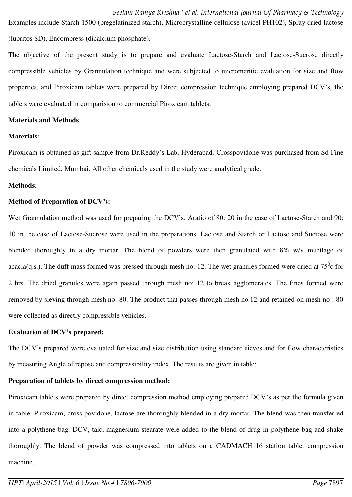Examples include Starch 1500 (pregelatinized starch), Microcrystalline cellulose (avicel PH102), Spray dried lactose (lubritos SD), Encompress (dicalcium phosphate).

The objective of the present study is to prepare and evaluate Lactose-Starch and Lactose-Sucrose directly compressible vehicles by Grannulation technique and were subjected to micromeritic evaluation for size and flow properties, and Piroxicam tablets were prepared by Direct compression technique employing prepared DCV's, the tablets were evaluated in comparision to commercial Piroxicam tablets.

#### **Materials and Methods**

#### **Materials***:*

Piroxicam is obtained as gift sample from Dr.Reddy's Lab, Hyderabad. Crosspovidone was purchased from Sd Fine chemicals Limited, Mumbai. All other chemicals used in the study were analytical grade.

#### **Methods***:*

#### **Method of Preparation of DCV's:**

Wet Grannulation method was used for preparing the DCV's. Aratio of 80: 20 in the case of Lactose-Starch and 90: 10 in the case of Lactose-Sucrose were used in the preparations. Lactose and Starch or Lactose and Sucrose were blended thoroughly in a dry mortar. The blend of powders were then granulated with 8% w/v mucilage of acacia(q.s.). The duff mass formed was pressed through mesh no: 12. The wet granules formed were dried at  $75^{\circ}$ c for 2 hrs. The dried granules were again passed through mesh no: 12 to break agglomerates. The fines formed were removed by sieving through mesh no: 80. The product that passes through mesh no:12 and retained on mesh no : 80 were collected as directly compressible vehicles.

### **Evaluation of DCV's prepared:**

The DCV's prepared were evaluated for size and size distribution using standard sieves and for flow characteristics by measuring Angle of repose and compressibility index. The results are given in table:

### **Preparation of tablets by direct compression method:**

Piroxicam tablets were prepared by direct compression method employing prepared DCV's as per the formula given in table: Piroxicam, cross povidone, lactose are thoroughly blended in a dry mortar. The blend was then transferred into a polythene bag. DCV, talc, magnesium stearate were added to the blend of drug in polythene bag and shake thoroughly. The blend of powder was compressed into tablets on a CADMACH 16 station tablet compression machine.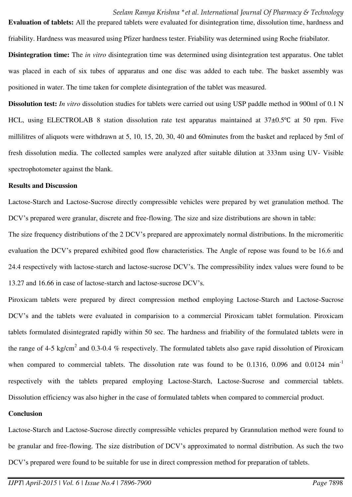friability. Hardness was measured using Pfizer hardness tester. Friability was determined using Roche friabilator.

**Evaluation of tablets:** All the prepared tablets were evaluated for disintegration time, dissolution time, hardness and

**Disintegration time:** The *in vitro* disintegration time was determined using disintegration test apparatus. One tablet was placed in each of six tubes of apparatus and one disc was added to each tube. The basket assembly was positioned in water. The time taken for complete disintegration of the tablet was measured.

**Dissolution test:** *In vitro* dissolution studies for tablets were carried out using USP paddle method in 900ml of 0.1 N HCL, using ELECTROLAB 8 station dissolution rate test apparatus maintained at 37±0.5℃ at 50 rpm. Five millilitres of aliquots were withdrawn at 5, 10, 15, 20, 30, 40 and 60minutes from the basket and replaced by 5ml of fresh dissolution media. The collected samples were analyzed after suitable dilution at 333nm using UV- Visible spectrophotometer against the blank.

#### **Results and Discussion**

Lactose-Starch and Lactose-Sucrose directly compressible vehicles were prepared by wet granulation method. The DCV's prepared were granular, discrete and free-flowing. The size and size distributions are shown in table:

The size frequency distributions of the 2 DCV's prepared are approximately normal distributions. In the micromeritic evaluation the DCV's prepared exhibited good flow characteristics. The Angle of repose was found to be 16.6 and 24.4 respectively with lactose-starch and lactose-sucrose DCV's. The compressibility index values were found to be 13.27 and 16.66 in case of lactose-starch and lactose-sucrose DCV's.

Piroxicam tablets were prepared by direct compression method employing Lactose-Starch and Lactose-Sucrose DCV's and the tablets were evaluated in comparision to a commercial Piroxicam tablet formulation. Piroxicam tablets formulated disintegrated rapidly within 50 sec. The hardness and friability of the formulated tablets were in the range of 4-5 kg/cm<sup>2</sup> and 0.3-0.4 % respectively. The formulated tablets also gave rapid dissolution of Piroxicam when compared to commercial tablets. The dissolution rate was found to be 0.1316, 0.096 and 0.0124 min<sup>-1</sup> respectively with the tablets prepared employing Lactose-Starch, Lactose-Sucrose and commercial tablets. Dissolution efficiency was also higher in the case of formulated tablets when compared to commercial product.

#### **Conclusion**

Lactose-Starch and Lactose-Sucrose directly compressible vehicles prepared by Grannulation method were found to be granular and free-flowing. The size distribution of DCV's approximated to normal distribution. As such the two DCV's prepared were found to be suitable for use in direct compression method for preparation of tablets.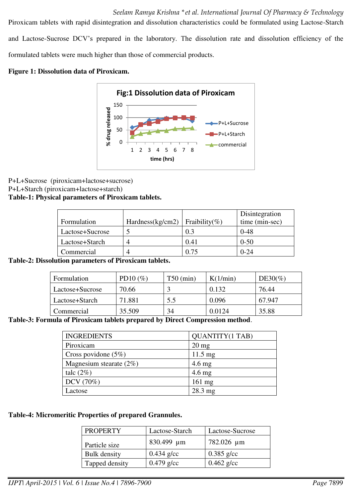*Seelam Ramya Krishna \*et al. International Journal Of Pharmacy & Technology*

Piroxicam tablets with rapid disintegration and dissolution characteristics could be formulated using Lactose-Starch and Lactose-Sucrose DCV's prepared in the laboratory. The dissolution rate and dissolution efficiency of the formulated tablets were much higher than those of commercial products.

## **Figure 1: Dissolution data of Piroxicam.**



## P+L+Sucrose (piroxicam+lactose+sucrose) P+L+Starch (piroxicam+lactose+starch)

## **Table-1: Physical parameters of Piroxicam tablets.**

|                 |                                  |      | Disintegration |
|-----------------|----------------------------------|------|----------------|
| Formulation     | Hardness(kg/cm2)   Fraibility(%) |      | time (min-sec) |
| Lactose+Sucrose |                                  | 0.3  | $0 - 48$       |
| Lactose+Starch  |                                  | 0.41 | $0 - 50$       |
| Commercial      |                                  | ) 75 | $0 - 24$       |

**Table-2: Dissolution parameters of Piroxicam tablets.** 

| Formulation     | PD10 $(\%)$ | $T50$ (min) | K(1/min) | $DE30\%$ |
|-----------------|-------------|-------------|----------|----------|
| Lactose+Sucrose | 70.66       |             | 0.132    | 76.44    |
| Lactose+Starch  | 71.881      | 5.5         | 0.096    | 67.947   |
| Commercial      | 35.509      | 34          | 0.0124   | 35.88    |

### **Table-3: Formula of Piroxicam tablets prepared by Direct Compression method**.

| <b>INGREDIENTS</b>         | <b>QUANTITY(1 TAB)</b> |
|----------------------------|------------------------|
| Piroxicam                  | $20 \text{ mg}$        |
| Cross povidone $(5%)$      | $11.5 \text{ mg}$      |
| Magnesium stearate $(2\%)$ | $4.6$ mg               |
| talc $(2\%)$               | $4.6 \text{ mg}$       |
| DCV (70%)                  | $161$ mg               |
| Lactose                    | 28.3 mg                |

### **Table-4: Micromeritic Properties of prepared Grannules.**

| <b>PROPERTY</b>     | Lactose-Starch | Lactose-Sucrose |
|---------------------|----------------|-----------------|
| Particle size       | 830.499 µm     | 782.026 µm      |
| <b>Bulk</b> density | $0.434$ g/cc   | $0.385$ g/cc    |
| Tapped density      | $0.479$ g/cc   | $0.462$ g/cc    |
|                     |                |                 |